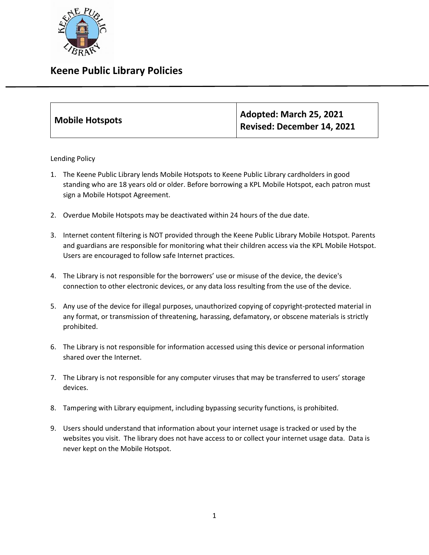

## **Keene Public Library Policies**

| Mobile Hotspots | Adopted: March 25, 2021    |
|-----------------|----------------------------|
|                 | Revised: December 14, 2021 |

Lending Policy

- 1. The Keene Public Library lends Mobile Hotspots to Keene Public Library cardholders in good standing who are 18 years old or older. Before borrowing a KPL Mobile Hotspot, each patron must sign a Mobile Hotspot Agreement.
- 2. Overdue Mobile Hotspots may be deactivated within 24 hours of the due date.
- 3. Internet content filtering is NOT provided through the Keene Public Library Mobile Hotspot. Parents and guardians are responsible for monitoring what their children access via the KPL Mobile Hotspot. Users are encouraged to follow safe Internet practices.
- 4. The Library is not responsible for the borrowers' use or misuse of the device, the device's connection to other electronic devices, or any data loss resulting from the use of the device.
- 5. Any use of the device for illegal purposes, unauthorized copying of copyright-protected material in any format, or transmission of threatening, harassing, defamatory, or obscene materials is strictly prohibited.
- 6. The Library is not responsible for information accessed using this device or personal information shared over the Internet.
- 7. The Library is not responsible for any computer viruses that may be transferred to users' storage devices.
- 8. Tampering with Library equipment, including bypassing security functions, is prohibited.
- 9. Users should understand that information about your internet usage is tracked or used by the websites you visit. The library does not have access to or collect your internet usage data. Data is never kept on the Mobile Hotspot.